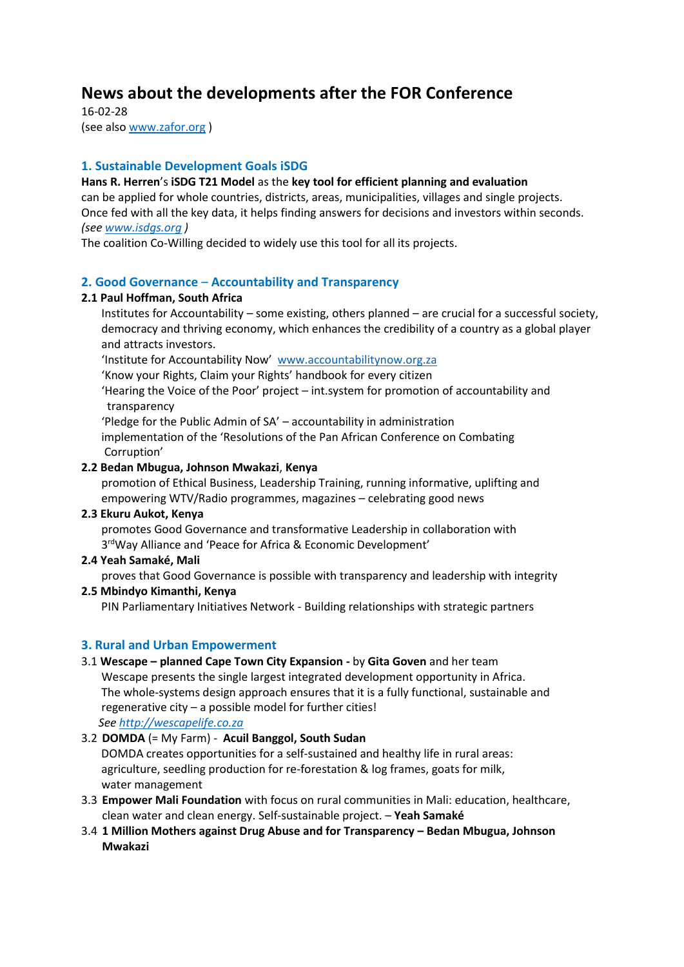# **News about the developments after the FOR Conference**

16-02-28 (see also [www.zafor.org](http://www.zafor.org/) )

# **1. Sustainable Development Goals iSDG**

**Hans R. Herren**'s **iSDG T21 Model** as the **key tool for efficient planning and evaluation** can be applied for whole countries, districts, areas, municipalities, villages and single projects. Once fed with all the key data, it helps finding answers for decisions and investors within seconds. *(se[e www.isdgs.org](http://www.isdgs.org/) )*

The coalition Co-Willing decided to widely use this tool for all its projects.

# **2. Good Governance** – **Accountability and Transparency**

## **2.1 Paul Hoffman, South Africa**

 Institutes for Accountability – some existing, others planned – are crucial for a successful society, democracy and thriving economy, which enhances the credibility of a country as a global player and attracts investors.

'Institute for Accountability Now' [www.accountabilitynow.org.za](http://www.accountabilitynow.org.za/)

'Know your Rights, Claim your Rights' handbook for every citizen

 'Hearing the Voice of the Poor' project – int.system for promotion of accountability and transparency

 'Pledge for the Public Admin of SA' – accountability in administration implementation of the 'Resolutions of the Pan African Conference on Combating Corruption'

## **2.2 Bedan Mbugua, Johnson Mwakazi**, **Kenya**

 promotion of Ethical Business, Leadership Training, running informative, uplifting and empowering WTV/Radio programmes, magazines – celebrating good news

#### **2.3 Ekuru Aukot, Kenya**

 promotes Good Governance and transformative Leadership in collaboration with 3<sup>rd</sup>Way Alliance and 'Peace for Africa & Economic Development'

## **2.4 Yeah Samaké, Mali**

proves that Good Governance is possible with transparency and leadership with integrity

## **2.5 Mbindyo Kimanthi, Kenya**

PIN Parliamentary Initiatives Network - Building relationships with strategic partners

## **3. Rural and Urban Empowerment**

## 3.1 **Wescape – planned Cape Town City Expansion -** by **Gita Goven** and her team

Wescape presents the single largest integrated development opportunity in Africa. The whole-systems design approach ensures that it is a fully functional, sustainable and regenerative city – a possible model for further cities!

*Se[e http://wescapelife.co.za](http://wescapelife.co.za/)*

## 3.2 **DOMDA** (= My Farm) - **Acuil Banggol, South Sudan** DOMDA creates opportunities for a self-sustained and healthy life in rural areas: agriculture, seedling production for re-forestation & log frames, goats for milk, water management

- 3.3 **Empower Mali Foundation** with focus on rural communities in Mali: education, healthcare, clean water and clean energy. Self-sustainable project. – **Yeah Samaké**
- 3.4 **1 Million Mothers against Drug Abuse and for Transparency – Bedan Mbugua, Johnson Mwakazi**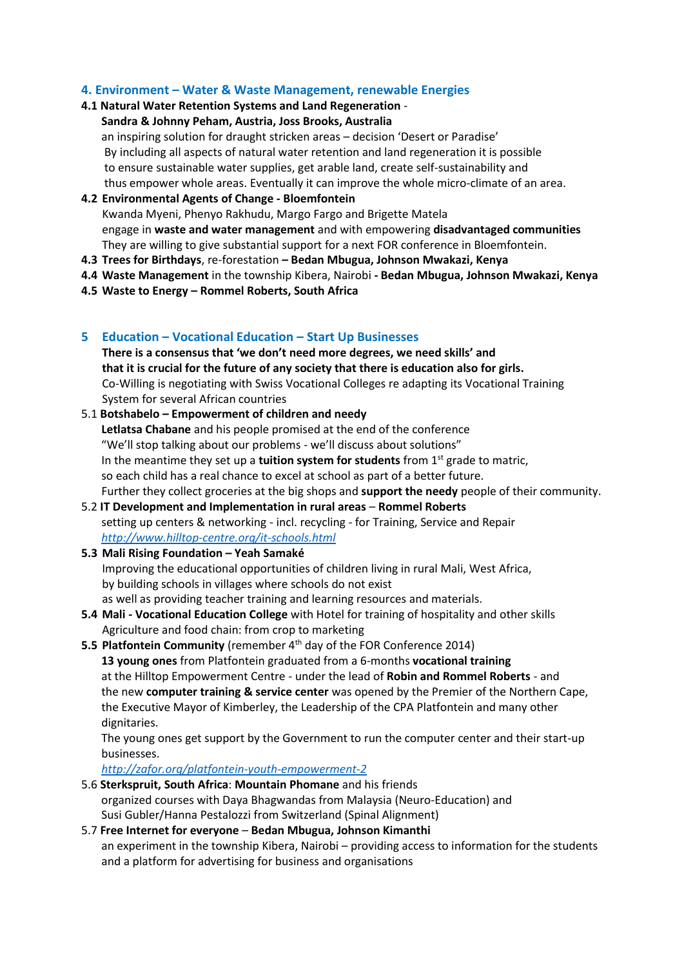## **4. Environment – Water & Waste Management, renewable Energies**

## **4.1 Natural Water Retention Systems and Land Regeneration** -

#### **Sandra & Johnny Peham, Austria, Joss Brooks, Australia**

 an inspiring solution for draught stricken areas – decision 'Desert or Paradise' By including all aspects of natural water retention and land regeneration it is possible to ensure sustainable water supplies, get arable land, create self-sustainability and thus empower whole areas. Eventually it can improve the whole micro-climate of an area.

#### **4.2 Environmental Agents of Change - Bloemfontein**

Kwanda Myeni, Phenyo Rakhudu, Margo Fargo and Brigette Matela engage in **waste and water management** and with empowering **disadvantaged communities** They are willing to give substantial support for a next FOR conference in Bloemfontein.

- **4.3 Trees for Birthdays**, re-forestation **– Bedan Mbugua, Johnson Mwakazi, Kenya**
- **4.4 Waste Management** in the township Kibera, Nairobi **- Bedan Mbugua, Johnson Mwakazi, Kenya**
- **4.5 Waste to Energy – Rommel Roberts, South Africa**

## **5 Education – Vocational Education – Start Up Businesses**

**There is a consensus that 'we don't need more degrees, we need skills' and that it is crucial for the future of any society that there is education also for girls.** Co-Willing is negotiating with Swiss Vocational Colleges re adapting its Vocational Training System for several African countries

- 5.1 **Botshabelo – Empowerment of children and needy Letlatsa Chabane** and his people promised at the end of the conference "We'll stop talking about our problems - we'll discuss about solutions" In the meantime they set up a **tuition system for students** from 1<sup>st</sup> grade to matric. so each child has a real chance to excel at school as part of a better future. Further they collect groceries at the big shops and **support the needy** people of their community.
- 5.2 **IT Development and Implementation in rural areas Rommel Roberts** setting up centers & networking - incl. recycling - for Training, Service and Repair  *<http://www.hilltop-centre.org/it-schools.html>*

# **5.3 Mali Rising Foundation – Yeah Samaké** Improving the educational opportunities of children living in rural Mali, West Africa, by building schools in villages where schools do not exist as well as providing teacher training and learning resources and materials.

- **5.4 Mali - Vocational Education College** with Hotel for training of hospitality and other skills Agriculture and food chain: from crop to marketing
- **5.5 Platfontein Community** (remember 4<sup>th</sup> day of the FOR Conference 2014) **13 young ones** from Platfontein graduated from a 6-months **vocational training** at the Hilltop Empowerment Centre - under the lead of **Robin and Rommel Roberts** - and the new **computer training & service center** was opened by the Premier of the Northern Cape, the Executive Mayor of Kimberley, the Leadership of the CPA Platfontein and many other dignitaries.

 The young ones get support by the Government to run the computer center and their start-up businesses.

*<http://zafor.org/platfontein-youth-empowerment-2>*

- 5.6 **Sterkspruit, South Africa**: **Mountain Phomane** and his friends organized courses with Daya Bhagwandas from Malaysia (Neuro-Education) and Susi Gubler/Hanna Pestalozzi from Switzerland (Spinal Alignment)
- 5.7 **Free Internet for everyone Bedan Mbugua, Johnson Kimanthi** an experiment in the township Kibera, Nairobi – providing access to information for the students and a platform for advertising for business and organisations